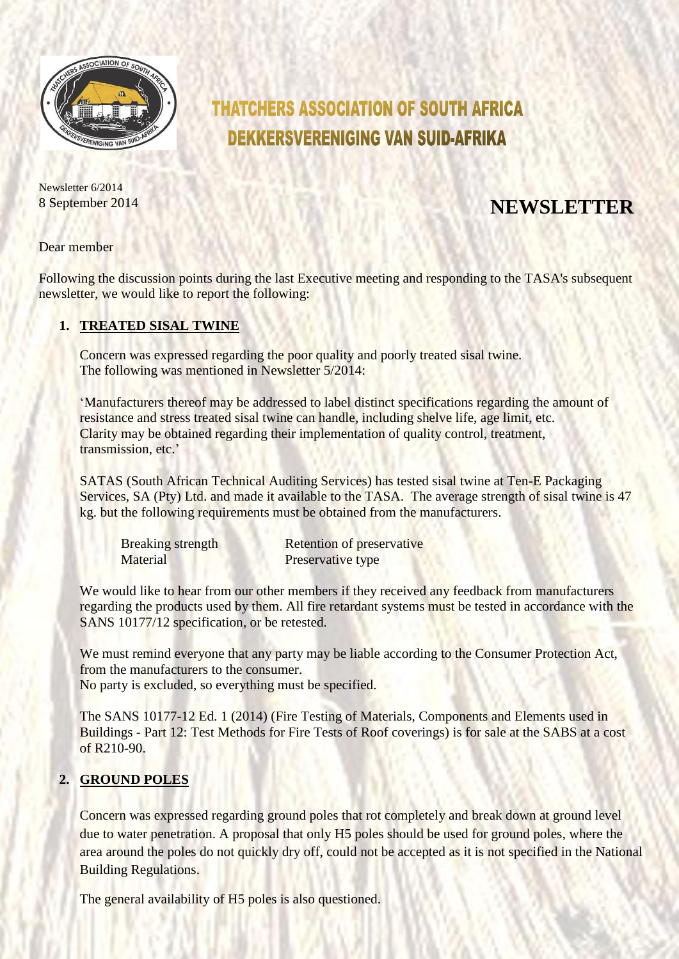

# **THATCHERS ASSOCIATION OF SOUTH AFRICA DEKKERSVERENIGING VAN SUID-AFRIKA**

Newsletter 6/2014

# 8 September <sup>2014</sup> **NEWSLETTER**

Dear member

Following the discussion points during the last Executive meeting and responding to the TASA's subsequent newsletter, we would like to report the following:

#### **1. TREATED SISAL TWINE**

Concern was expressed regarding the poor quality and poorly treated sisal twine. The following was mentioned in Newsletter 5/2014:

'Manufacturers thereof may be addressed to label distinct specifications regarding the amount of resistance and stress treated sisal twine can handle, including shelve life, age limit, etc. Clarity may be obtained regarding their implementation of quality control, treatment, transmission, etc.'

SATAS (South African Technical Auditing Services) has tested sisal twine at Ten-E Packaging Services, SA (Pty) Ltd. and made it available to the TASA. The average strength of sisal twine is 47 kg. but the following requirements must be obtained from the manufacturers.

| <b>Breaking strength</b> | <b>Retention of preservative</b> |
|--------------------------|----------------------------------|
| Material                 | Preservative type                |

We would like to hear from our other members if they received any feedback from manufacturers regarding the products used by them. All fire retardant systems must be tested in accordance with the SANS 10177/12 specification, or be retested.

We must remind everyone that any party may be liable according to the Consumer Protection Act, from the manufacturers to the consumer.

No party is excluded, so everything must be specified.

The SANS 10177-12 Ed. 1 (2014) (Fire Testing of Materials, Components and Elements used in Buildings - Part 12: Test Methods for Fire Tests of Roof coverings) is for sale at the SABS at a cost of  $R210-90$ .

## **2. GROUND POLES**

Concern was expressed regarding ground poles that rot completely and break down at ground level due to water penetration. A proposal that only H5 poles should be used for ground poles, where the area around the poles do not quickly dry off, could not be accepted as it is not specified in the National Building Regulations.

The general availability of H5 poles is also questioned.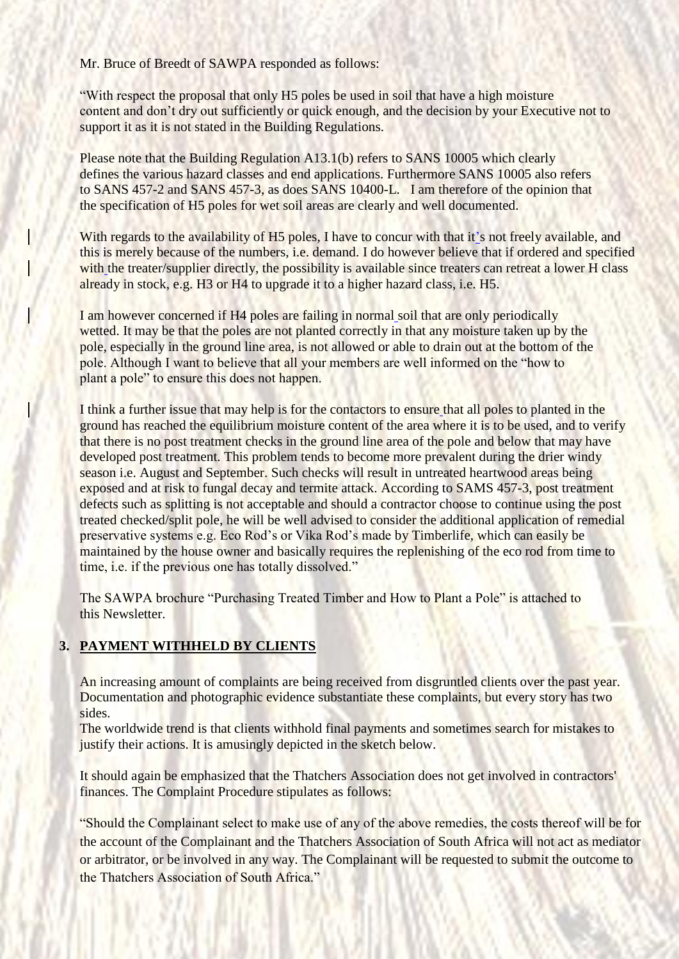Mr. Bruce of Breedt of SAWPA responded as follows:

"With respect the proposal that only H5 poles be used in soil that have a high moisture content and don't dry out sufficiently or quick enough, and the decision by your Executive not to support it as it is not stated in the Building Regulations.

Please note that the Building Regulation A13.1(b) refers to SANS 10005 which clearly defines the various hazard classes and end applications. Furthermore SANS 10005 also refers to SANS 457-2 and SANS 457-3, as does SANS 10400-L. I am therefore of the opinion that the specification of H5 poles for wet soil areas are clearly and well documented.

With regards to the availability of H5 poles, I have to concur with that it's not freely available, and this is merely because of the numbers, i.e. demand. I do however believe that if ordered and specified with the treater/supplier directly, the possibility is available since treaters can retreat a lower H class already in stock, e.g. H3 or H4 to upgrade it to a higher hazard class, i.e. H5.

I am however concerned if H4 poles are failing in normal soil that are only periodically wetted. It may be that the poles are not planted correctly in that any moisture taken up by the pole, especially in the ground line area, is not allowed or able to drain out at the bottom of the pole. Although I want to believe that all your members are well informed on the "how to plant a pole" to ensure this does not happen.

I think a further issue that may help is for the contactors to ensure that all poles to planted in the ground has reached the equilibrium moisture content of the area where it is to be used, and to verify that there is no post treatment checks in the ground line area of the pole and below that may have developed post treatment. This problem tends to become more prevalent during the drier windy season i.e. August and September. Such checks will result in untreated heartwood areas being exposed and at risk to fungal decay and termite attack. According to SAMS 457-3, post treatment defects such as splitting is not acceptable and should a contractor choose to continue using the post treated checked/split pole, he will be well advised to consider the additional application of remedial preservative systems e.g. Eco Rod's or Vika Rod's made by Timberlife, which can easily be maintained by the house owner and basically requires the replenishing of the eco rod from time to time, i.e. if the previous one has totally dissolved."

The SAWPA brochure "Purchasing Treated Timber and How to Plant a Pole" is attached to this Newsletter.

## **3. PAYMENT WITHHELD BY CLIENTS**

An increasing amount of complaints are being received from disgruntled clients over the past year. Documentation and photographic evidence substantiate these complaints, but every story has two sides.

The worldwide trend is that clients withhold final payments and sometimes search for mistakes to justify their actions. It is amusingly depicted in the sketch below.

It should again be emphasized that the Thatchers Association does not get involved in contractors' finances. The Complaint Procedure stipulates as follows:

"Should the Complainant select to make use of any of the above remedies, the costs thereof will be for the account of the Complainant and the Thatchers Association of South Africa will not act as mediator or arbitrator, or be involved in any way. The Complainant will be requested to submit the outcome to the Thatchers Association of South Africa."